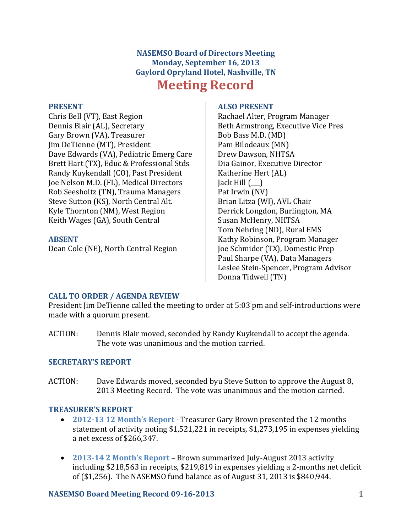# **NASEMSO Board of Directors Meeting Monday, September 16, 2013 Gaylord Opryland Hotel, Nashville, TN Meeting Record**

#### **PRESENT**

Chris Bell (VT), East Region Dennis Blair (AL), Secretary Gary Brown (VA), Treasurer Jim DeTienne (MT), President Dave Edwards (VA), Pediatric Emerg Care Brett Hart (TX), Educ & Professional Stds Randy Kuykendall (CO), Past President Joe Nelson M.D. (FL), Medical Directors Rob Seesholtz (TN), Trauma Managers Steve Sutton (KS), North Central Alt. Kyle Thornton (NM), West Region Keith Wages (GA), South Central

## **ABSENT**

Dean Cole (NE), North Central Region

#### **ALSO PRESENT**

Rachael Alter, Program Manager Beth Armstrong, Executive Vice Pres Bob Bass M.D. (MD) Pam Bilodeaux (MN) Drew Dawson, NHTSA Dia Gainor, Executive Director Katherine Hert (AL)  $Jack Hill ( )$ Pat Irwin (NV) Brian Litza (WI), AVL Chair Derrick Longdon, Burlington, MA Susan McHenry, NHTSA Tom Nehring (ND), Rural EMS Kathy Robinson, Program Manager Joe Schmider (TX), Domestic Prep Paul Sharpe (VA), Data Managers Leslee Stein-Spencer, Program Advisor Donna Tidwell (TN)

## **CALL TO ORDER / AGENDA REVIEW**

President Jim DeTienne called the meeting to order at 5:03 pm and self-introductions were made with a quorum present.

ACTION: Dennis Blair moved, seconded by Randy Kuykendall to accept the agenda. The vote was unanimous and the motion carried.

## **SECRETARY'S REPORT**

ACTION: Dave Edwards moved, seconded byu Steve Sutton to approve the August 8, 2013 Meeting Record. The vote was unanimous and the motion carried.

## **TREASURER'S REPORT**

- **2012-13 12 Month's Report** Treasurer Gary Brown presented the 12 months statement of activity noting \$1,521,221 in receipts, \$1,273,195 in expenses yielding a net excess of \$266,347.
- **2013-14 2 Month's Report** Brown summarized July-August 2013 activity including \$218,563 in receipts, \$219,819 in expenses yielding a 2-months net deficit of (\$1,256). The NASEMSO fund balance as of August 31, 2013 is \$840,944.

## **NASEMSO Board Meeting Record 09-16-2013** 1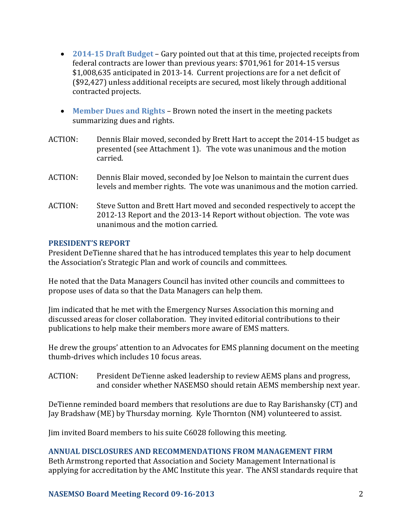- **2014-15 Draft Budget** Gary pointed out that at this time, projected receipts from federal contracts are lower than previous years: \$701,961 for 2014-15 versus \$1,008,635 anticipated in 2013-14. Current projections are for a net deficit of (\$92,427) unless additional receipts are secured, most likely through additional contracted projects.
- **Member Dues and Rights**  Brown noted the insert in the meeting packets summarizing dues and rights.
- ACTION: Dennis Blair moved, seconded by Brett Hart to accept the 2014-15 budget as presented (see Attachment 1). The vote was unanimous and the motion carried.
- ACTION: Dennis Blair moved, seconded by Joe Nelson to maintain the current dues levels and member rights. The vote was unanimous and the motion carried.
- ACTION: Steve Sutton and Brett Hart moved and seconded respectively to accept the 2012-13 Report and the 2013-14 Report without objection. The vote was unanimous and the motion carried.

#### **PRESIDENT'S REPORT**

President DeTienne shared that he has introduced templates this year to help document the Association's Strategic Plan and work of councils and committees.

He noted that the Data Managers Council has invited other councils and committees to propose uses of data so that the Data Managers can help them.

Jim indicated that he met with the Emergency Nurses Association this morning and discussed areas for closer collaboration. They invited editorial contributions to their publications to help make their members more aware of EMS matters.

He drew the groups' attention to an Advocates for EMS planning document on the meeting thumb-drives which includes 10 focus areas.

ACTION: President DeTienne asked leadership to review AEMS plans and progress, and consider whether NASEMSO should retain AEMS membership next year.

DeTienne reminded board members that resolutions are due to Ray Barishansky (CT) and Jay Bradshaw (ME) by Thursday morning. Kyle Thornton (NM) volunteered to assist.

Jim invited Board members to his suite C6028 following this meeting.

## **ANNUAL DISCLOSURES AND RECOMMENDATIONS FROM MANAGEMENT FIRM**

Beth Armstrong reported that Association and Society Management International is applying for accreditation by the AMC Institute this year. The ANSI standards require that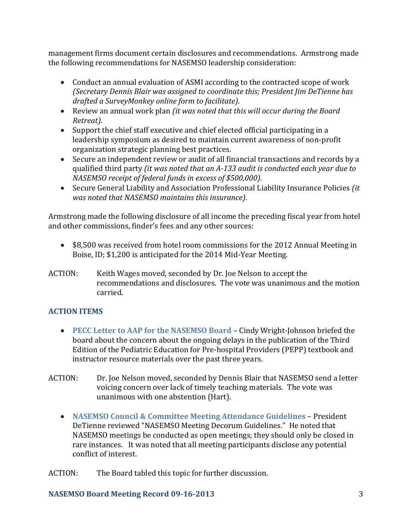management firms document certain disclosures and recommendations. Armstrong made the following recommendations for NASEMSO leadership consideration:

- Conduct an annual evaluation of ASMI according to the contracted scope of work *(Secretary Dennis Blair was assigned to coordinate this; President Jim DeTienne has drafted a SurveyMonkey online form to facilitate)*.
- Review an annual work plan *(it was noted that this will occur during the Board Retreat)*.
- Support the chief staff executive and chief elected official participating in a leadership symposium as desired to maintain current awareness of non-profit organization strategic planning best practices.
- Secure an independent review or audit of all financial transactions and records by a qualified third party *(it was noted that an A-133 audit is conducted each year due to NASEMSO receipt of federal funds in excess of \$500,000)*.
- Secure General Liability and Association Professional Liability Insurance Policies *(it was noted that NASEMSO maintains this insurance)*.

Armstrong made the following disclosure of all income the preceding fiscal year from hotel and other commissions, finder's fees and any other sources:

- \$8,500 was received from hotel room commissions for the 2012 Annual Meeting in Boise, ID; \$1,200 is anticipated for the 2014 Mid-Year Meeting.
- ACTION: Keith Wages moved, seconded by Dr. Joe Nelson to accept the recommendations and disclosures. The vote was unanimous and the motion carried.

## **ACTION ITEMS**

- **PECC Letter to AAP for the NASEMSO Board** Cindy Wright-Johnson briefed the board about the concern about the ongoing delays in the publication of the Third Edition of the Pediatric Education for Pre-hospital Providers (PEPP) textbook and instructor resource materials over the past three years.
- ACTION: Dr. Joe Nelson moved, seconded by Dennis Blair that NASEMSO send a letter voicing concern over lack of timely teaching materials. The vote was unanimous with one abstention (Hart).
	- **NASEMSO Council & Committee Meeting Attendance Guidelines**  President DeTienne reviewed "NASEMSO Meeting Decorum Guidelines." He noted that NASEMSO meetings be conducted as open meetings; they should only be closed in rare instances. It was noted that all meeting participants disclose any potential conflict of interest.

ACTION: The Board tabled this topic for further discussion.

## **NASEMSO Board Meeting Record 09-16-2013** 3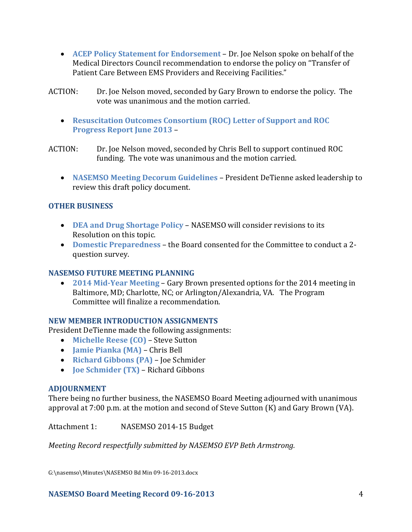- **ACEP Policy Statement for Endorsement**  Dr. Joe Nelson spoke on behalf of the Medical Directors Council recommendation to endorse the policy on "Transfer of Patient Care Between EMS Providers and Receiving Facilities."
- ACTION: Dr. Joe Nelson moved, seconded by Gary Brown to endorse the policy. The vote was unanimous and the motion carried.
	- **Resuscitation Outcomes Consortium (ROC) Letter of Support and ROC Progress Report June 2013** –

ACTION: Dr. Joe Nelson moved, seconded by Chris Bell to support continued ROC funding. The vote was unanimous and the motion carried.

 **NASEMSO Meeting Decorum Guidelines** – President DeTienne asked leadership to review this draft policy document.

## **OTHER BUSINESS**

- **DEA and Drug Shortage Policy** NASEMSO will consider revisions to its Resolution on this topic.
- **Domestic Preparedness**  the Board consented for the Committee to conduct a 2 question survey.

## **NASEMSO FUTURE MEETING PLANNING**

 **2014 Mid-Year Meeting** – Gary Brown presented options for the 2014 meeting in Baltimore, MD; Charlotte, NC; or Arlington/Alexandria, VA. The Program Committee will finalize a recommendation.

## **NEW MEMBER INTRODUCTION ASSIGNMENTS**

President DeTienne made the following assignments:

- **Michelle Reese (CO)** Steve Sutton
- **Jamie Pianka (MA)**  Chris Bell
- **Richard Gibbons (PA)**  Joe Schmider
- **Joe Schmider (TX)**  Richard Gibbons

## **ADJOURNMENT**

There being no further business, the NASEMSO Board Meeting adjourned with unanimous approval at 7:00 p.m. at the motion and second of Steve Sutton (K) and Gary Brown (VA).

Attachment 1: NASEMSO 2014-15 Budget

*Meeting Record respectfully submitted by NASEMSO EVP Beth Armstrong.*

G:\nasemso\Minutes\NASEMSO Bd Min 09-16-2013.docx

## **NASEMSO Board Meeting Record 09-16-2013** 4